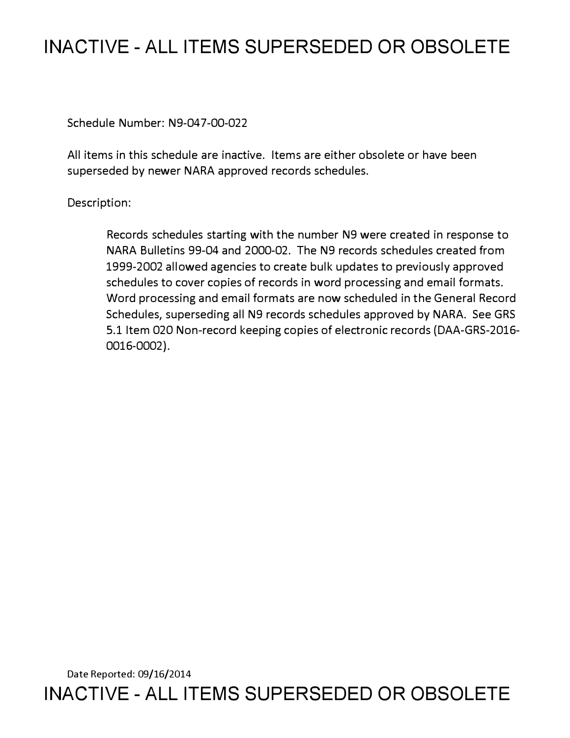# **INACTIVE - ALL ITEMS SUPERSEDED OR OBSOLETE**

Schedule Number: N9-047-00-022

All items in this schedule are inactive. Items are either obsolete or have been superseded by newer NARA approved records schedules.

# Description:

Records schedules starting with the number N9 were created in response to NARA Bulletins 99-04 and 2000-02. The N9 records schedules created from 1999-2002 allowed agencies to create bulk updates to previously approved schedules to cover copies of records in word processing and email formats. Word processing and email formats are now scheduled in the General Record Schedules, superseding all N9 records schedules approved by NARA. See GRS 5.1 Item 020 Non-record keeping copies of electronic records (DAA-GRS-2016- 0016-0002).

Date Reported: 09/16/2014 **INACTIVE - ALL ITEMS SUPERSEDED OR OBSOLETE**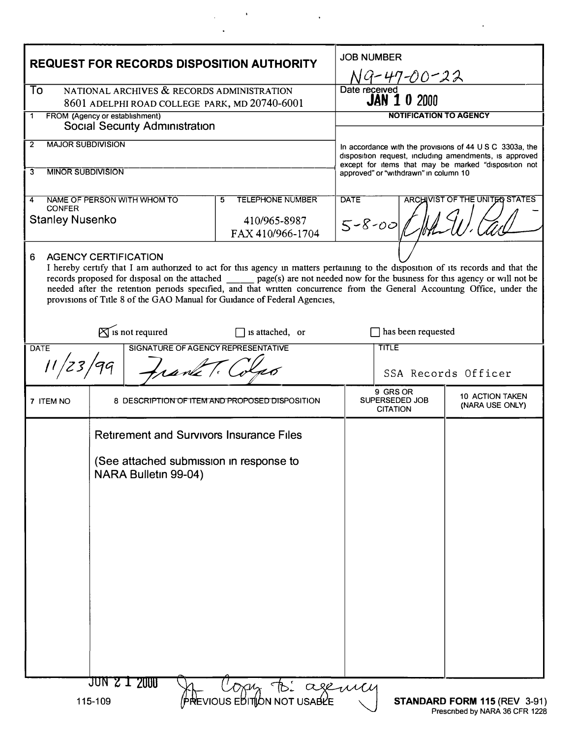|                                                                                                                                                                                                                                                                                                                                                                                                                                                                                                            | <b>REQUEST FOR RECORDS DISPOSITION AUTHORITY</b> | <b>JOB NUMBER</b><br>NG-47-00 <u>-22</u>                                                                      |                                                                                                                |                                                          |
|------------------------------------------------------------------------------------------------------------------------------------------------------------------------------------------------------------------------------------------------------------------------------------------------------------------------------------------------------------------------------------------------------------------------------------------------------------------------------------------------------------|--------------------------------------------------|---------------------------------------------------------------------------------------------------------------|----------------------------------------------------------------------------------------------------------------|----------------------------------------------------------|
| NATIONAL ARCHIVES & RECORDS ADMINISTRATION<br>To<br>8601 ADELPHI ROAD COLLEGE PARK, MD 20740-6001                                                                                                                                                                                                                                                                                                                                                                                                          |                                                  |                                                                                                               | Date received<br><b>JAN 1 0 2000</b>                                                                           |                                                          |
| FROM (Agency or establishment)<br>1<br><b>Social Security Administration</b>                                                                                                                                                                                                                                                                                                                                                                                                                               |                                                  |                                                                                                               | NOTIFICATION TO AGENCY                                                                                         |                                                          |
| <b>MAJOR SUBDIVISION</b><br>$\overline{2}$                                                                                                                                                                                                                                                                                                                                                                                                                                                                 |                                                  |                                                                                                               |                                                                                                                | In accordance with the provisions of 44 U S C 3303a, the |
|                                                                                                                                                                                                                                                                                                                                                                                                                                                                                                            |                                                  |                                                                                                               | disposition request, including amendments, is approved<br>except for items that may be marked "disposition not |                                                          |
| <b>MINOR SUBDIVISION</b><br>3                                                                                                                                                                                                                                                                                                                                                                                                                                                                              |                                                  |                                                                                                               | approved" or "withdrawn" in column 10                                                                          |                                                          |
| 4<br><b>CONFER</b>                                                                                                                                                                                                                                                                                                                                                                                                                                                                                         | NAME OF PERSON WITH WHOM TO                      | <b>TELEPHONE NUMBER</b><br>5                                                                                  | <b>DATE</b><br><b>ARCHIVIST OF THE UNITED STATES</b>                                                           |                                                          |
| <b>Stanley Nusenko</b>                                                                                                                                                                                                                                                                                                                                                                                                                                                                                     |                                                  | 410/965-8987<br>FAX 410/966-1704                                                                              | $5 - 8 - 00$                                                                                                   |                                                          |
| <b>AGENCY CERTIFICATION</b><br>6<br>I hereby certify that I am authorized to act for this agency in matters pertaining to the disposition of its records and that the<br>records proposed for disposal on the attached page(s) are not needed now for the business for this agency or will not be<br>needed after the retention periods specified, and that written concurrence from the General Accounting Office, under the<br>provisions of Title 8 of the GAO Manual for Guidance of Federal Agencies, |                                                  |                                                                                                               |                                                                                                                |                                                          |
| $\mathbb{X}$ is not required<br>has been requested<br>$\Box$ is attached, or                                                                                                                                                                                                                                                                                                                                                                                                                               |                                                  |                                                                                                               |                                                                                                                |                                                          |
| <b>DATE</b>                                                                                                                                                                                                                                                                                                                                                                                                                                                                                                | SIGNATURE OF AGENCY REPRESENTATIVE               | TITLE                                                                                                         |                                                                                                                |                                                          |
| 11/23/<br>rank T.                                                                                                                                                                                                                                                                                                                                                                                                                                                                                          |                                                  |                                                                                                               | SSA Records Officer                                                                                            |                                                          |
| 7 ITEM NO                                                                                                                                                                                                                                                                                                                                                                                                                                                                                                  |                                                  | 8 DESCRIPTION OF ITEM AND PROPOSED DISPOSITION                                                                | 9 GRS OR<br>SUPERSEDED JOB<br><b>CITATION</b>                                                                  | 10 ACTION TAKEN<br>(NARA USE ONLY)                       |
|                                                                                                                                                                                                                                                                                                                                                                                                                                                                                                            | NARA Bulletin 99-04)<br>JUN 2 1 2000             | <b>Retirement and Survivors Insurance Files</b><br>(See attached submission in response to<br>Copy B: ageming |                                                                                                                |                                                          |
| PREVIOUS EDITION NOT USABLE<br>115-109<br>STANDARD FORM 115 (REV 3-91)                                                                                                                                                                                                                                                                                                                                                                                                                                     |                                                  |                                                                                                               |                                                                                                                |                                                          |

 $\frac{1}{2}$  ,  $\frac{1}{2}$  ,  $\frac{1}{2}$ 

 $\ddot{\phantom{a}}$ 

 $\sim$   $\sim$ 

l.